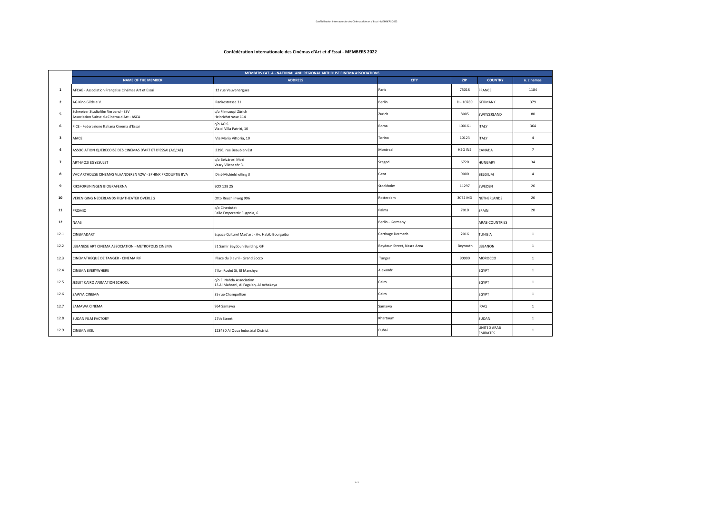1 - 3

## **Confédération Internationale des Cinémas d'Art et d'Essai - MEMBERS 2022**

|                         | MEMBERS CAT. A - NATIONAL AND REGIONAL ARTHOUSE CINEMA ASSOCIATIONS             |                                                                    |                            |                                 |                                |                |
|-------------------------|---------------------------------------------------------------------------------|--------------------------------------------------------------------|----------------------------|---------------------------------|--------------------------------|----------------|
|                         | <b>NAME OF THE MEMBER</b>                                                       | <b>ADDRESS</b>                                                     | <b>CITY</b>                | <b>ZIP</b>                      | <b>COUNTRY</b>                 | n. cinemas     |
| 1                       | AFCAE - Association Française Cinémas Art et Essai                              | 12 rue Vauvenargues                                                | Paris                      | 75018                           | FRANCE                         | 1184           |
| $\overline{2}$          | AG Kino Gilde e.V.                                                              | Rankestrasse 31                                                    | Berlin                     | $D - 10789$                     | <b>GERMANY</b>                 | 379            |
| 5                       | Schweizer Studiofilm Verband - SSV<br>Association Suisse du Cinéma d'Art - ASCA | c/o Filmcoopi Zürich<br>Heinrichstrasse 114                        | Zurich                     | 8005                            | SWITZERLAND                    | 80             |
| 6                       | FICE - Federazione Italiana Cinema d'Essai                                      | c/o AGIS<br>Via di Villa Patrizi, 10                               | Roma                       | $I - 00161$                     | <b>ITALY</b>                   | 364            |
| $\overline{\mathbf{3}}$ | AIACE                                                                           | Via Maria Vittoria, 10                                             | Torino                     | 10123                           | <b>ITALY</b>                   | $\overline{4}$ |
| $\boldsymbol{4}$        | ASSOCIATION QUEBECOISE DES CINEMAS D'ART ET D'ESSAI (AQCAE)                     | 2396, rue Beaubien Est                                             | Montreal                   | H <sub>2G</sub> IN <sub>2</sub> | CANADA                         | $\overline{7}$ |
| $\overline{7}$          | ART-MOZI EGYESULET                                                              | c/o Belvárosi Mozi<br>Vaszy Viktor tér 3.                          | Szeged                     | 6720                            | <b>HUNGARY</b>                 | 34             |
| 8                       | VAC ARTHOUSE CINEMAS VLAANDEREN VZW - SPHINX PRODUKTIE BVA                      | Dint-Michielshelling 3                                             | Gent                       | 9000                            | BELGIUM                        | $\overline{4}$ |
| 9                       | RIKSFOREININGEN BIOGRAFERNA                                                     | BOX 128 25                                                         | Stockholm                  | 11297                           | SWEDEN                         | 26             |
| 10                      | /ERENIGING NEDERLANDS FILMTHEATER OVERLEG                                       | Otto Reuchlinweg 996                                               | Rotterdam                  | 3072 MD                         | NETHERLANDS                    | 26             |
| 11                      | PROMIO                                                                          | c/o Cineciutat<br>Calle Emperatriz Eugenia, 6                      | Palma                      | 7010                            | SPAIN                          | 20             |
| 12                      | NAAS                                                                            |                                                                    | Berlin - Germany           |                                 | <b>ARAB COUNTRIES</b>          |                |
| 12.1                    | <b>CINEMADART</b>                                                               | Espace Culturel Mad'art - Av. Habib Bourguiba                      | Carthage Dermech           | 2016                            | TUNISIA                        | $\mathbf{1}$   |
| 12.2                    | EBANESE ART CINEMA ASSOCIATION - METROPOLIS CINEMA                              | 51 Samir Beydoun Building, GF                                      | Beydoun Street, Nasra Area | Beyrouth                        | LEBANON                        | $\mathbf{1}$   |
| 12.3                    | CINEMATHEQUE DE TANGER - CINEMA RIF                                             | Place du 9 avril - Grand Socco                                     | Tanger                     | 90000                           | MOROCCO                        | $\mathbf{1}$   |
| 12.4                    | <b>CINEMA EVERYWHERE</b>                                                        | 7 Ibn Roshd St, El Manshya                                         | Alexandri                  |                                 | EGYPT                          | $\mathbf{1}$   |
| 12.5                    | JESUIT CAIRO ANIMATION SCHOOL                                                   | c/o El Nahda Association<br>13 Al Mahrani, Al Fagalah, Al Azbakeya | Cairo                      |                                 | EGYPT                          | $\mathbf{1}$   |
| 12.6                    | ZAWYA CINEMA                                                                    | 35 rue Champollion                                                 | Cairo                      |                                 | EGYPT                          | $\mathbf{1}$   |
| 12.7                    | SAMAWA CINEMA                                                                   | 964 Samawa                                                         | Samawa                     |                                 | <b>IRAQ</b>                    | $\mathbf{1}$   |
| 12.8                    | SUDAN FILM FACTORY                                                              | 27th Street                                                        | Khartoum                   |                                 | SUDAN                          | $\mathbf{1}$   |
| 12.9                    | <b>CINEMA AKIL</b>                                                              | 123430 Al Quoz Industrial District                                 | Dubai                      |                                 | UNITED ARAB<br><b>EMIRATES</b> | $\mathbf{1}$   |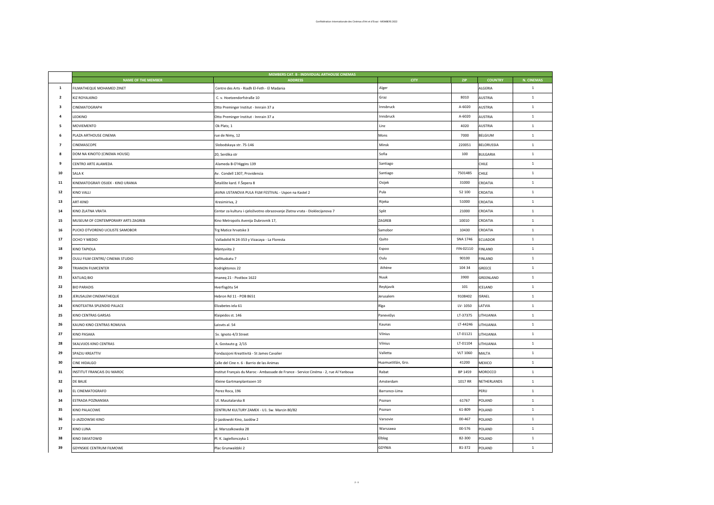|                         |                                    | MEMBERS CAT. B - INDIVIDUAL ARTHOUSE CINEMAS                                          |                    |                 |                   |              |
|-------------------------|------------------------------------|---------------------------------------------------------------------------------------|--------------------|-----------------|-------------------|--------------|
|                         | <b>NAME OF THE MEMBER</b>          | <b>ADDRESS</b>                                                                        | <b>CITY</b>        | ZIP             | <b>COUNTRY</b>    | N. CINEMAS   |
| $\mathbf{1}$            | FILMATHEQUE MOHAMED ZINET          | Centre des Arts - Riadh El-Feth - El Madania                                          | Alger              |                 | ALGERIA           | $\mathbf 1$  |
| $\overline{\mathbf{2}}$ | KIZ ROYALKINO                      | C. v. Hoetzendorfstraße 10                                                            | Graz               | 8010            | <b>AUSTRIA</b>    | $1\,$        |
| $\overline{\mathbf{3}}$ | CINEMATOGRAPH                      | Otto Preminger Institut - Innrain 37 a                                                | Innsbruck          | A-6020          | <b>AUSTRIA</b>    | $1\,$        |
| 4                       | LEOKINO                            | Otto Preminger Institut - Innrain 37 a                                                | Innsbruck          | A-6020          | <b>AUSTRIA</b>    | $1\,$        |
| 5                       | <b>MOVIEMENTO</b>                  | Ok Platz, 1                                                                           | Linz               | 4020            | <b>AUSTRIA</b>    | $\mathbf{1}$ |
| 6                       | PLAZA ARTHOUSE CINEMA              | rue de Nimy, 12                                                                       | Mons               | 7000            | BELGIUM           | $1\,$        |
| $\overline{7}$          | CINEMASCOPE                        | Slobodskaya str. 75-146                                                               | Minsk              | 220051          | <b>BELORUSSIA</b> | $1\,$        |
| 8                       | DOM NA KINOTO (CINEMA HOUSE)       | 20, Serdika str                                                                       | Sofia              | 100             | <b>BULGARIA</b>   | $1\,$        |
| 9                       | CENTRO ARTE ALAMEDA                | Alameda B-O'Higgins 139                                                               | Santiago           |                 | CHILE             | $1\,$        |
| 10                      | SALA K                             | Av. Condell 1307, Providencia                                                         | Santiago           | 7501485         | CHILE             | $1\,$        |
| 11                      | KINEMATOGRAFI OSIJEK - KINO URANIA | Šetalište kard. F.Šepera 8                                                            | Osijek             | 31000           | CROATIA           | $\mathbf 1$  |
| 12                      | KINO VALLI                         | JAVNA USTANOVA PULA FILM FESTIVAL - Uspon na Kastel 2                                 | Pula               | 52 100          | CROATIA           | $1\,$        |
| 13                      | ART-KINO                           | Kresimiriva, 2                                                                        | Rijeka             | 51000           | CROATIA           | $1\,$        |
| 14                      | KINO ZLATNA VRATA                  | Centar za kulturu i cjeloživotno obrazovanje Zlatna vrata - Dioklecijanova 7          | Split              | 21000           | CROATIA           | $1\,$        |
| 15                      | MUSEUM OF CONTEMPORARY ARTS ZAGREB | Kino Metropolis Avenija Dubrovnik 17,                                                 | ZAGREB             | 10010           | CROATIA           | $\mathbf{1}$ |
| 16                      | PUCKO OTVORENO UCILISTE SAMOBOR    | Trg Matice hrvatske 3                                                                 | Samobor            | 10430           | CROATIA           | $\mathbf{1}$ |
| 17                      | OCHO Y MEDIO                       | Valladolid N 24-353 y Vizacaya - La Floresta                                          | Quito              | SNA 1746        | <b>ECUADOR</b>    | $\mathbf{1}$ |
| 18                      | KINO TAPIOLA                       | Mäntyviita 2                                                                          | Espoo              | FIN-02110       | FINLAND           | $\mathbf{1}$ |
| 19                      | OULU FILM CENTRE/ CINEMA STUDIO    | Hallituskatu 7                                                                        | Oulu               | 90100           | FINLAND           | $1\,$        |
| 20                      | TRIANON FILMCENTER                 | Kodrigktonos 22                                                                       | Athène             | 104 34          | GREECE            | $\mathbf{1}$ |
| 21                      | KATUAQ BIO                         | Imaneg 21 - Postbox 1622                                                              | Nuuk               | 3900            | GREENLAND         | $\mathbf{1}$ |
| 22                      | <b>BIO PARADIS</b>                 | Hverfisgötu 54                                                                        | Reykjavik          | 101             | ICELAND           | $1\,$        |
| 23                      | JERUSALEM CINEMATHEQUE             | Hebron Rd 11 - POB 8651                                                               | Jerusalem          | 9108402         | <b>ISRAEL</b>     | $\mathbf{1}$ |
| 24                      | KINOTEATRA SPLENDID PALACE         | Elizabetes iela 61                                                                    | Rīga               | LV-1050         | LATVIA            | $1\,$        |
| 25                      | KINO CENTRAS GARSAS                | Klaipėdos st. 146                                                                     | Panevėžys          | LT-37375        | LITHUANIA         | $\mathbf{1}$ |
| 26                      | KAUNO KINO CENTRAS ROMUVA          | Laisvės al. 54                                                                        | Kaunas             | LT-44246        | LITHUANIA         | $1\,$        |
| 27                      | KINO PASAKA                        | Sv. Ignoto 4/3 Street                                                                 | Vilnius            | LT-01121        | LITHUANIA         | 1            |
| 28                      | SKALVIJOS KINO CENTRAS             | A. Gostauto g. 2/15                                                                   | Vilnius            | LT-01104        | LITHUANIA         | $1\,$        |
| 29                      | SPAZJU KREATTIV                    | Fondazzjoni Kreattività - St James Cavalier                                           | Valletta           | <b>VLT 1060</b> | MALTA             | $\mathbf{1}$ |
| 30                      | CINE HIDALGO                       | Calle del Cine n. 6 - Barrio de las Animas                                            | Huamuxtitlán, Gro. | 41200           | MEXICO            | $1\,$        |
| 31                      | INSTITUT FRANCAIS DU MAROC         | Institut Français du Maroc - Ambassade de France - Service Cinéma - 2, rue Al Yanboua | Rabat              | BP 1459         | MOROCCO           | $\mathbf{1}$ |
| 32                      | DE BALIE                           | Kleine Gartmanplantsoen 10                                                            | Amsterdam          | 1017 RR         | NETHERLANDS       | $\mathbf{1}$ |
| 33                      | EL CINEMATOGRAFO                   | Perez Roca, 196                                                                       | Barranco-Lima      |                 | PERU              | $\mathbf{1}$ |
| 34                      | ESTRADA POZNANSKA                  | Ul. Masztalarska 8                                                                    | Poznan             | 61767           | POLAND            | $\mathbf{1}$ |
| 35                      | KINO PALACOWE                      | CENTRUM KULTURY ZAMEK - U1. Sw. Marcin 80/82                                          | Poznan             | 61-809          | POLAND            | $1\,$        |
| 36                      | U-JAZDOWSKI KINO                   | U-jazdowski Kino, Jazdów 2                                                            | Varsovie           | $00 - 467$      | POLAND            | $1\,$        |
| 37                      | KINO LUNA                          | ul. Marszalkowska 28                                                                  | Warszawa           | 00-576          | POLAND            | $\mathbf{1}$ |
| 38                      | KINO SWIATOWID                     | Pl. K. Jagiellonczyka 1                                                               | Elblag             | 82-300          | POLAND            | $1\,$        |
| 39                      | GDYNSKIE CENTRUM FILMOWE           | Plac Grunwaldzki 2                                                                    | <b>GDYNIA</b>      | 81-372          | POLAND            | $1\,$        |